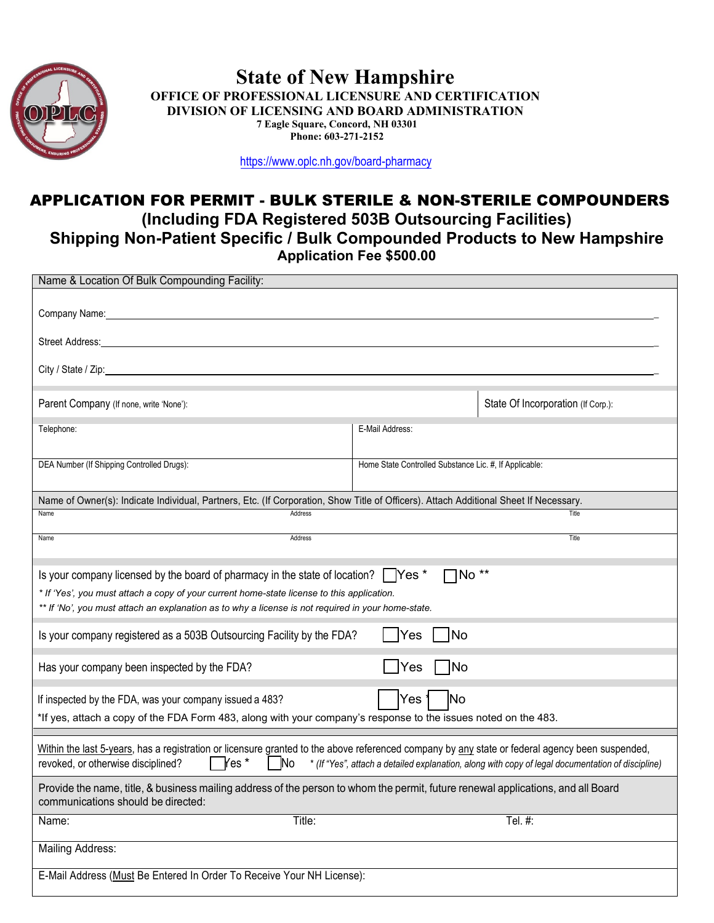

## **State of New Hampshire OFFICE OF PROFESSIONAL LICENSURE AND CERTIFICATION DIVISION OF LICENSING AND BOARD ADMINISTRATION 7 Eagle Square, Concord, NH 03301 Phone: 603-271-2152**

<https://www.oplc.nh.gov/board-pharmacy>

## APPLICATION FOR PERMIT - BULK STERILE & NON-STERILE COMPOUNDERS **(Including FDA Registered 503B Outsourcing Facilities) Shipping Non-Patient Specific / Bulk Compounded Products to New Hampshire Application Fee \$500.00**

| Name & Location Of Bulk Compounding Facility:                                                                                                                                                                                                                                                                                                                                                        |                                                        |  |  |  |
|------------------------------------------------------------------------------------------------------------------------------------------------------------------------------------------------------------------------------------------------------------------------------------------------------------------------------------------------------------------------------------------------------|--------------------------------------------------------|--|--|--|
|                                                                                                                                                                                                                                                                                                                                                                                                      |                                                        |  |  |  |
| Street Address:                                                                                                                                                                                                                                                                                                                                                                                      |                                                        |  |  |  |
| City / State / Zip:                                                                                                                                                                                                                                                                                                                                                                                  |                                                        |  |  |  |
| Parent Company (If none, write 'None'):                                                                                                                                                                                                                                                                                                                                                              | State Of Incorporation (If Corp.):                     |  |  |  |
| Telephone:                                                                                                                                                                                                                                                                                                                                                                                           | E-Mail Address:                                        |  |  |  |
| DEA Number (If Shipping Controlled Drugs):                                                                                                                                                                                                                                                                                                                                                           | Home State Controlled Substance Lic. #, If Applicable: |  |  |  |
| Name of Owner(s): Indicate Individual, Partners, Etc. (If Corporation, Show Title of Officers). Attach Additional Sheet If Necessary.                                                                                                                                                                                                                                                                |                                                        |  |  |  |
| Name<br>Address                                                                                                                                                                                                                                                                                                                                                                                      | Title                                                  |  |  |  |
| Name<br>Address                                                                                                                                                                                                                                                                                                                                                                                      | Title                                                  |  |  |  |
| $\Box$ No**<br>Is your company licensed by the board of pharmacy in the state of location?   Yes *<br>* If 'Yes', you must attach a copy of your current home-state license to this application.<br>** If 'No', you must attach an explanation as to why a license is not required in your home-state.<br><b>Yes</b><br> No<br>Is your company registered as a 503B Outsourcing Facility by the FDA? |                                                        |  |  |  |
| $\sqrt{\frac{1}{1}}$ Yes<br>  No<br>Has your company been inspected by the FDA?                                                                                                                                                                                                                                                                                                                      |                                                        |  |  |  |
| <b>No</b><br>If inspected by the FDA, was your company issued a 483?<br>*If yes, attach a copy of the FDA Form 483, along with your company's response to the issues noted on the 483.                                                                                                                                                                                                               |                                                        |  |  |  |
| Within the last 5-years, has a registration or licensure granted to the above referenced company by any state or federal agency been suspended,<br>$\mathsf{Yes}$ *<br>revoked, or otherwise disciplined?<br><b>No</b><br>* (If "Yes", attach a detailed explanation, along with copy of legal documentation of discipline)                                                                          |                                                        |  |  |  |
| Provide the name, title, & business mailing address of the person to whom the permit, future renewal applications, and all Board<br>communications should be directed:                                                                                                                                                                                                                               |                                                        |  |  |  |
| Title:<br>Name:                                                                                                                                                                                                                                                                                                                                                                                      | Tel. #:                                                |  |  |  |
| Mailing Address:                                                                                                                                                                                                                                                                                                                                                                                     |                                                        |  |  |  |
| E-Mail Address (Must Be Entered In Order To Receive Your NH License):                                                                                                                                                                                                                                                                                                                                |                                                        |  |  |  |